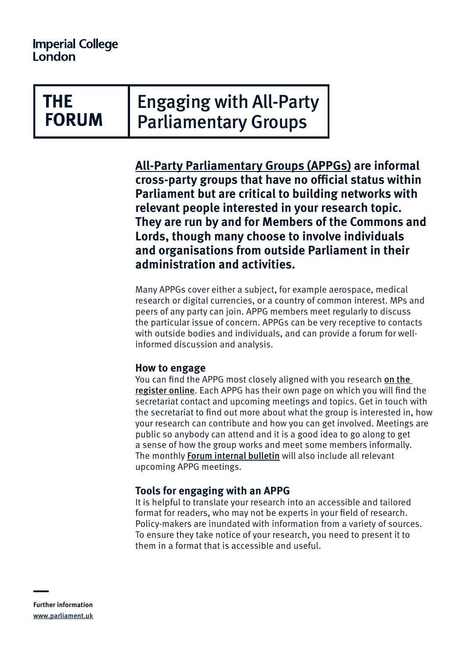# THE **FORUM**

Engaging with All-Party Parliamentary Groups

**[All-Party Parliamentary Groups \(APPGs\)](https://www.parliament.uk/about/mps-and-lords/members/apg/) are informal cross-party groups that have no official status within Parliament but are critical to building networks with relevant people interested in your research topic. They are run by and for Members of the Commons and Lords, though many choose to involve individuals and organisations from outside Parliament in their administration and activities.**

Many APPGs cover either a subject, for example aerospace, medical research or digital currencies, or a country of common interest. MPs and peers of any party can join. APPG members meet regularly to discuss the particular issue of concern. APPGs can be very receptive to contacts with outside bodies and individuals, and can provide a forum for wellinformed discussion and analysis.

#### **How to engage**

You can find the APPG most closely aligned with you research on the [register online](https://www.parliament.uk/mps-lords-and-offices/standards-and-financial-interests/parliamentary-commissioner-for-standards/registers-of-interests/register-of-all-party-party-parliamentary-groups/). Each APPG has their own page on which you will find the secretariat contact and upcoming meetings and topics. Get in touch with the secretariat to find out more about what the group is interested in, how your research can contribute and how you can get involved. Meetings are public so anybody can attend and it is a good idea to go along to get a sense of how the group works and meet some members informally. The monthly [Forum internal bulletin](https://www.imperial.ac.uk/the-forum/contact/bulletin-signup/) will also include all relevant upcoming APPG meetings.

## **Tools for engaging with an APPG**

It is helpful to translate your research into an accessible and tailored format for readers, who may not be experts in your field of research. Policy-makers are inundated with information from a variety of sources. To ensure they take notice of your research, you need to present it to them in a format that is accessible and useful.